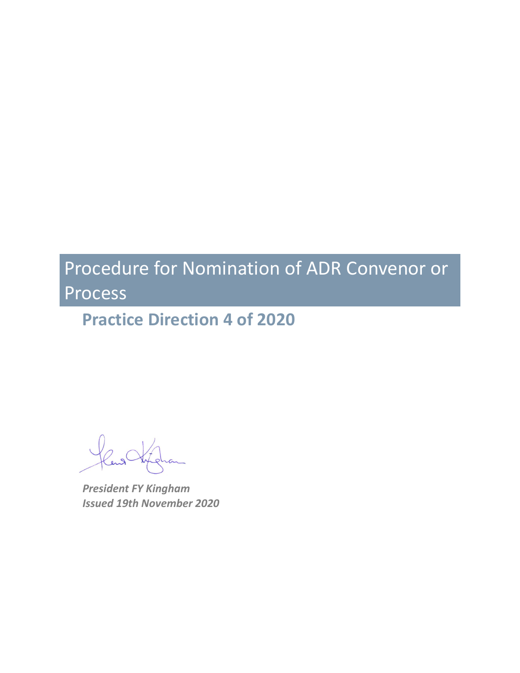**Practice Direction 4 of 2020**

*President FY Kingham Issued 19th November 2020*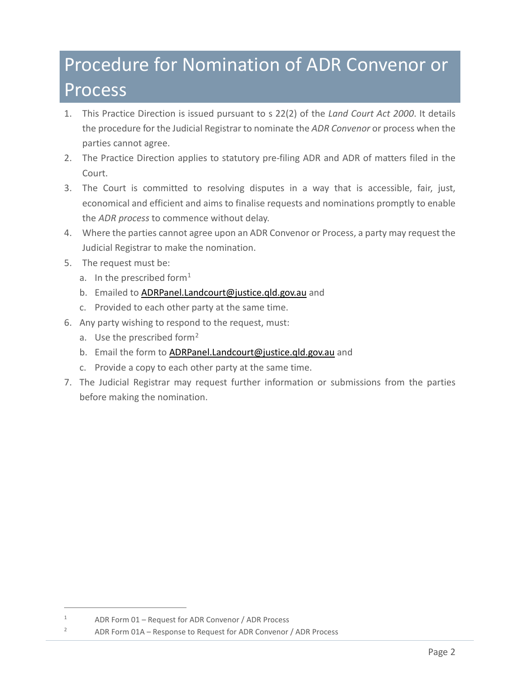- 1. This Practice Direction is issued pursuant to s 22(2) of the *Land Court Act 2000*. It details the procedure for the Judicial Registrar to nominate the *ADR Convenor* or process when the parties cannot agree.
- 2. The Practice Direction applies to statutory pre-filing ADR and ADR of matters filed in the Court.
- 3. The Court is committed to resolving disputes in a way that is accessible, fair, just, economical and efficient and aims to finalise requests and nominations promptly to enable the *ADR process* to commence without delay.
- 4. Where the parties cannot agree upon an ADR Convenor or Process, a party may request the Judicial Registrar to make the nomination.
- 5. The request must be:
	- a. In the prescribed form<sup>[1](#page-1-0)</sup>
	- b. Emailed to [ADRPanel.Landcourt@justice.qld.gov.au](mailto:ADRPanel.Landcourt@justice.qld.gov.au) and
	- c. Provided to each other party at the same time.
- 6. Any party wishing to respond to the request, must:
	- a. Use the prescribed form<sup>[2](#page-1-1)</sup>
	- b. Email the form to [ADRPanel.Landcourt@justice.qld.gov.au](mailto:ADRPanel.Landcourt@justice.qld.gov.au) and
	- c. Provide a copy to each other party at the same time.
- 7. The Judicial Registrar may request further information or submissions from the parties before making the nomination.

<span id="page-1-0"></span><sup>1</sup> ADR Form 01 – Request for ADR Convenor / ADR Process

<span id="page-1-1"></span><sup>&</sup>lt;sup>2</sup> ADR Form 01A – Response to Request for ADR Convenor / ADR Process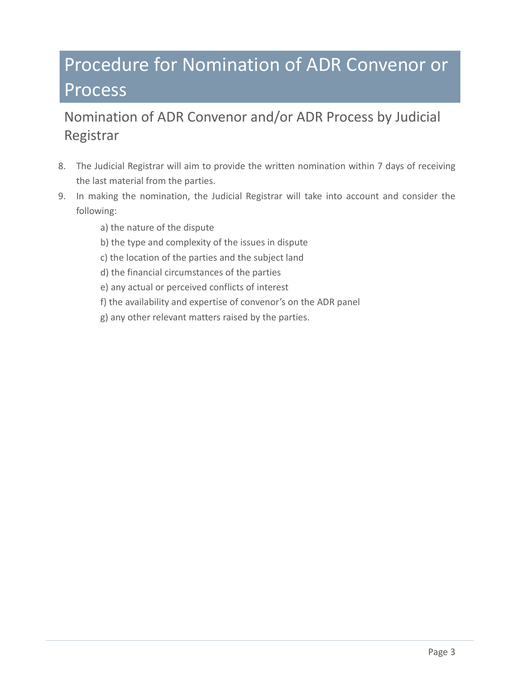### Nomination of ADR Convenor and/or ADR Process by Judicial Registrar

- 8. The Judicial Registrar will aim to provide the written nomination within 7 days of receiving the last material from the parties.
- 9. In making the nomination, the Judicial Registrar will take into account and consider the following:
	- a) the nature of the dispute
	- b) the type and complexity of the issues in dispute
	- c) the location of the parties and the subject land
	- d) the financial circumstances of the parties
	- e) any actual or perceived conflicts of interest
	- f) the availability and expertise of convenor's on the ADR panel
	- g) any other relevant matters raised by the parties.